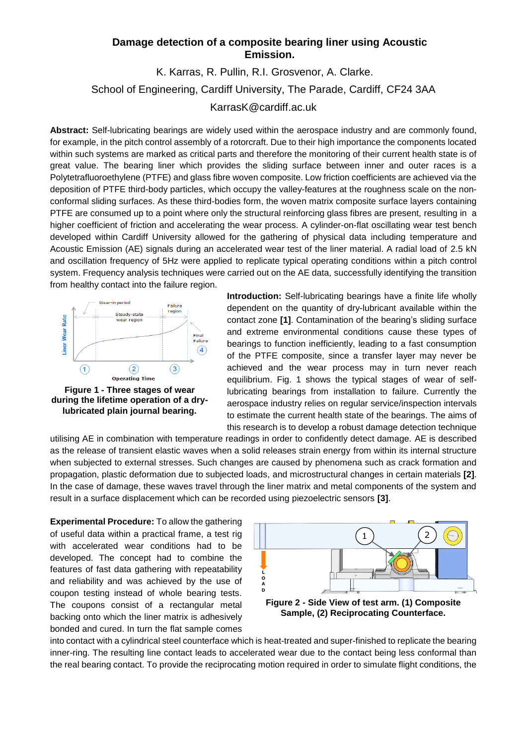## **Damage detection of a composite bearing liner using Acoustic Emission.**

## K. Karras, R. Pullin, R.I. Grosvenor, A. Clarke. School of Engineering, Cardiff University, The Parade, Cardiff, CF24 3AA KarrasK@cardiff.ac.uk

**Abstract:** Self-lubricating bearings are widely used within the aerospace industry and are commonly found, for example, in the pitch control assembly of a rotorcraft. Due to their high importance the components located within such systems are marked as critical parts and therefore the monitoring of their current health state is of great value. The bearing liner which provides the sliding surface between inner and outer races is a Polytetrafluoroethylene (PTFE) and glass fibre woven composite. Low friction coefficients are achieved via the deposition of PTFE third-body particles, which occupy the valley-features at the roughness scale on the nonconformal sliding surfaces. As these third-bodies form, the woven matrix composite surface layers containing PTFE are consumed up to a point where only the structural reinforcing glass fibres are present, resulting in a higher coefficient of friction and accelerating the wear process. A cylinder-on-flat oscillating wear test bench developed within Cardiff University allowed for the gathering of physical data including temperature and Acoustic Emission (AE) signals during an accelerated wear test of the liner material. A radial load of 2.5 kN and oscillation frequency of 5Hz were applied to replicate typical operating conditions within a pitch control system. Frequency analysis techniques were carried out on the AE data, successfully identifying the transition from healthy contact into the failure region.



**Figure 1 - Three stages of wear during the lifetime operation of a drylubricated plain journal bearing.**

**Introduction:** Self-lubricating bearings have a finite life wholly dependent on the quantity of dry-lubricant available within the contact zone **[1]**. Contamination of the bearing's sliding surface and extreme environmental conditions cause these types of bearings to function inefficiently, leading to a fast consumption of the PTFE composite, since a transfer layer may never be achieved and the wear process may in turn never reach equilibrium. Fig. 1 shows the typical stages of wear of selflubricating bearings from installation to failure. Currently the aerospace industry relies on regular service/inspection intervals to estimate the current health state of the bearings. The aims of this research is to develop a robust damage detection technique

utilising AE in combination with temperature readings in order to confidently detect damage. AE is described as the release of transient elastic waves when a solid releases strain energy from within its internal structure when subjected to external stresses. Such changes are caused by phenomena such as crack formation and propagation, plastic deformation due to subjected loads, and microstructural changes in certain materials **[2]**. In the case of damage, these waves travel through the liner matrix and metal components of the system and result in a surface displacement which can be recorded using piezoelectric sensors **[3]**.

**Experimental Procedure:** To allow the gathering of useful data within a practical frame, a test rig with accelerated wear conditions had to be developed. The concept had to combine the features of fast data gathering with repeatability and reliability and was achieved by the use of coupon testing instead of whole bearing tests. The coupons consist of a rectangular metal backing onto which the liner matrix is adhesively bonded and cured. In turn the flat sample comes



**Sample, (2) Reciprocating Counterface.**

into contact with a cylindrical steel counterface which is heat-treated and super-finished to replicate the bearing inner-ring. The resulting line contact leads to accelerated wear due to the contact being less conformal than the real bearing contact. To provide the reciprocating motion required in order to simulate flight conditions, the